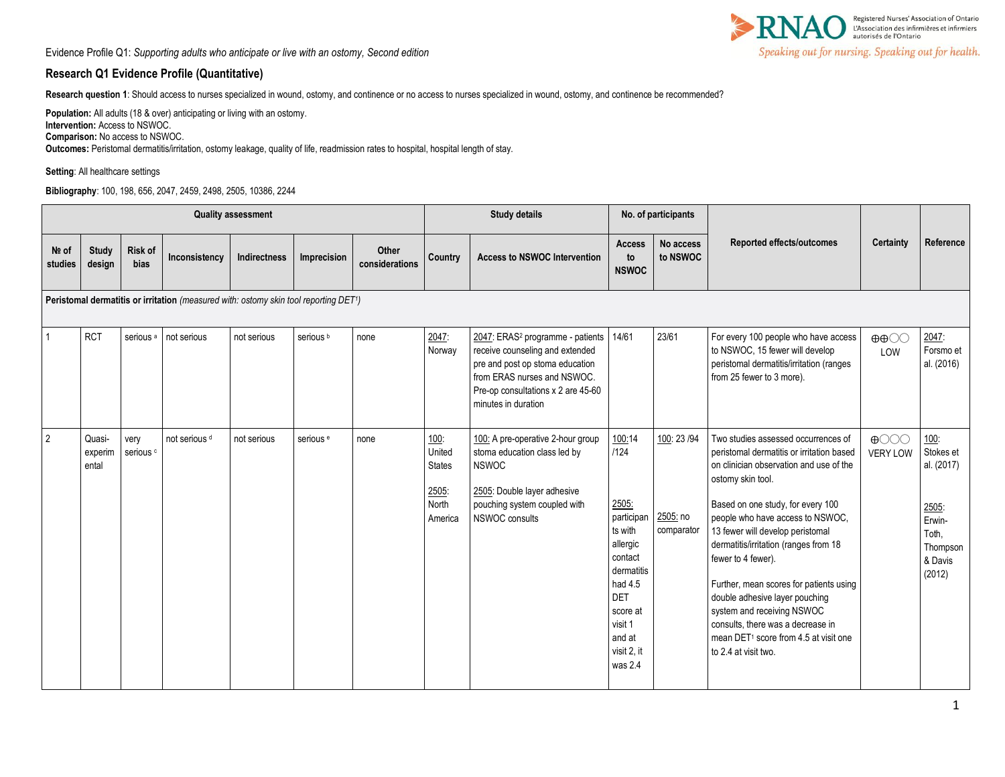

## **Research Q1 Evidence Profile (Quantitative)**

**Research question 1**: Should access to nurses specialized in wound, ostomy, and continence or no access to nurses specialized in wound, ostomy, and continence be recommended?

**Population:** All adults (18 & over) anticipating or living with an ostomy. **Intervention:** Access to NSWOC. **Comparison:** No access to NSWOC.

**Outcomes:** Peristomal dermatitis/irritation, ostomy leakage, quality of life, readmission rates to hospital, hospital length of stay.

**Setting**: All healthcare settings

**Bibliography**: 100, 198, 656, 2047, 2459, 2498, 2505, 10386, 2244

|                  | <b>Quality assessment</b>                                                            |                              |                          |              |                      |                                |                                                              | <b>Study details</b>                                                                                                                                                                                           |                                                                                                                                                                           | No. of participants                    |                                                                                                                                                                                                                                                                                                                                                                                                                                                                                                                                                           |                                                      |                                                                                              |
|------------------|--------------------------------------------------------------------------------------|------------------------------|--------------------------|--------------|----------------------|--------------------------------|--------------------------------------------------------------|----------------------------------------------------------------------------------------------------------------------------------------------------------------------------------------------------------------|---------------------------------------------------------------------------------------------------------------------------------------------------------------------------|----------------------------------------|-----------------------------------------------------------------------------------------------------------------------------------------------------------------------------------------------------------------------------------------------------------------------------------------------------------------------------------------------------------------------------------------------------------------------------------------------------------------------------------------------------------------------------------------------------------|------------------------------------------------------|----------------------------------------------------------------------------------------------|
| Nº of<br>studies | <b>Study</b><br>design                                                               | <b>Risk of</b><br>bias       | Inconsistency            | Indirectness | Imprecision          | <b>Other</b><br>considerations | Country                                                      | <b>Access to NSWOC Intervention</b>                                                                                                                                                                            | <b>Access</b><br>to<br><b>NSWOC</b>                                                                                                                                       | No access<br>to NSWOC                  | <b>Reported effects/outcomes</b>                                                                                                                                                                                                                                                                                                                                                                                                                                                                                                                          | Certainty                                            | Reference                                                                                    |
|                  | Peristomal dermatitis or irritation (measured with: ostomy skin tool reporting DET1) |                              |                          |              |                      |                                |                                                              |                                                                                                                                                                                                                |                                                                                                                                                                           |                                        |                                                                                                                                                                                                                                                                                                                                                                                                                                                                                                                                                           |                                                      |                                                                                              |
| $\mathbf{1}$     | <b>RCT</b>                                                                           | serious <sup>a</sup>         | not serious              | not serious  | serious <sup>b</sup> | none                           | 2047:<br>Norway                                              | 2047: ERAS <sup>2</sup> programme - patients<br>receive counseling and extended<br>pre and post op stoma education<br>from ERAS nurses and NSWOC.<br>Pre-op consultations x 2 are 45-60<br>minutes in duration | 14/61                                                                                                                                                                     | 23/61                                  | For every 100 people who have access<br>to NSWOC, 15 fewer will develop<br>peristomal dermatitis/irritation (ranges<br>from 25 fewer to 3 more).                                                                                                                                                                                                                                                                                                                                                                                                          | $\oplus \oplus \bigcirc \bigcirc$<br>LOW             | 2047:<br>Forsmo et<br>al. (2016)                                                             |
| $\overline{2}$   | Quasi-<br>experim<br>ental                                                           | very<br>serious <sup>c</sup> | not serious <sup>d</sup> | not serious  | serious <sup>e</sup> | none                           | 100:<br>United<br><b>States</b><br>2505:<br>North<br>America | 100: A pre-operative 2-hour group<br>stoma education class led by<br><b>NSWOC</b><br>2505: Double layer adhesive<br>pouching system coupled with<br>NSWOC consults                                             | 100:14<br>/124<br>2505:<br>participan<br>ts with<br>allergic<br>contact<br>dermatitis<br>had 4.5<br><b>DET</b><br>score at<br>visit 1<br>and at<br>visit 2, it<br>was 2.4 | 100: 23 / 94<br>2505: no<br>comparator | Two studies assessed occurrences of<br>peristomal dermatitis or irritation based<br>on clinician observation and use of the<br>ostomy skin tool.<br>Based on one study, for every 100<br>people who have access to NSWOC,<br>13 fewer will develop peristomal<br>dermatitis/irritation (ranges from 18<br>fewer to 4 fewer).<br>Further, mean scores for patients using<br>double adhesive layer pouching<br>system and receiving NSWOC<br>consults, there was a decrease in<br>mean DET <sup>1</sup> score from 4.5 at visit one<br>to 2.4 at visit two. | $\bigoplus$ $\bigodot$ $\bigodot$<br><b>VERY LOW</b> | 100:<br>Stokes et<br>al. (2017)<br>2505:<br>Erwin-<br>Toth,<br>Thompson<br>& Davis<br>(2012) |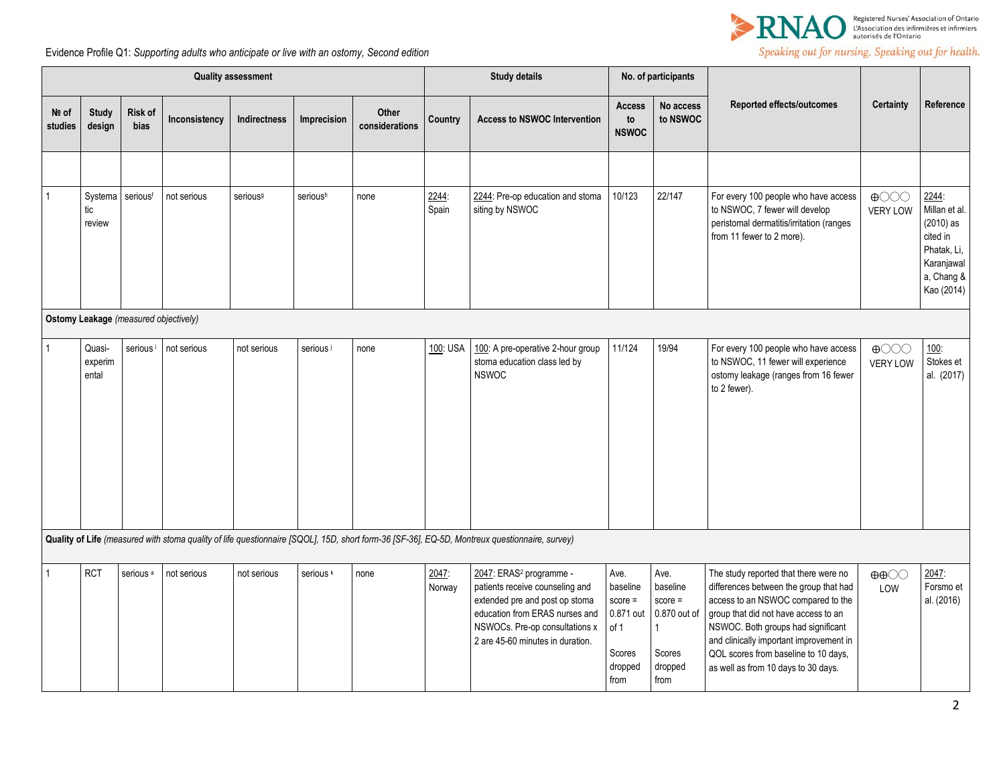

| <b>Quality assessment</b> |                                       |                      |               |                      | <b>Study details</b> |                         | No. of participants |                                                                                                                                                                                                                  |                                                                                 |                                                                                 |                                                                                                                                                                                                                                                                                                                               |                                                      |                                                                                                            |
|---------------------------|---------------------------------------|----------------------|---------------|----------------------|----------------------|-------------------------|---------------------|------------------------------------------------------------------------------------------------------------------------------------------------------------------------------------------------------------------|---------------------------------------------------------------------------------|---------------------------------------------------------------------------------|-------------------------------------------------------------------------------------------------------------------------------------------------------------------------------------------------------------------------------------------------------------------------------------------------------------------------------|------------------------------------------------------|------------------------------------------------------------------------------------------------------------|
| Nº of<br>studies          | <b>Study</b><br>design                | Risk of<br>bias      | Inconsistency | Indirectness         | Imprecision          | Other<br>considerations | Country             | <b>Access to NSWOC Intervention</b>                                                                                                                                                                              | <b>Access</b><br>to<br><b>NSWOC</b>                                             | No access<br>to NSWOC                                                           | <b>Reported effects/outcomes</b>                                                                                                                                                                                                                                                                                              | Certainty                                            | Reference                                                                                                  |
|                           |                                       |                      |               |                      |                      |                         |                     |                                                                                                                                                                                                                  |                                                                                 |                                                                                 |                                                                                                                                                                                                                                                                                                                               |                                                      |                                                                                                            |
|                           | Systema<br>tic<br>review              | seriousf             | not serious   | serious <sup>9</sup> | serioush             | none                    | 2244:<br>Spain      | 2244: Pre-op education and stoma<br>siting by NSWOC                                                                                                                                                              | 10/123                                                                          | 22/147                                                                          | For every 100 people who have access<br>to NSWOC, 7 fewer will develop<br>peristomal dermatitis/irritation (ranges<br>from 11 fewer to 2 more).                                                                                                                                                                               | $\bigoplus$ $\bigodot$ $\bigodot$<br><b>VERY LOW</b> | 2244:<br>Millan et al.<br>$(2010)$ as<br>cited in<br>Phatak, Li,<br>Karanjawal<br>a, Chang &<br>Kao (2014) |
|                           | Ostomy Leakage (measured objectively) |                      |               |                      |                      |                         |                     |                                                                                                                                                                                                                  |                                                                                 |                                                                                 |                                                                                                                                                                                                                                                                                                                               |                                                      |                                                                                                            |
|                           | Quasi-<br>experim<br>ental            | serious <sup>i</sup> | not serious   | not serious          | serious i            | none                    | 100: USA            | 100: A pre-operative 2-hour group<br>stoma education class led by<br><b>NSWOC</b>                                                                                                                                | 11/124                                                                          | 19/94                                                                           | For every 100 people who have access<br>to NSWOC, 11 fewer will experience<br>ostomy leakage (ranges from 16 fewer<br>to 2 fewer).                                                                                                                                                                                            | $\bigoplus$ $\bigodot$ $\bigodot$<br><b>VERY LOW</b> | 100:<br>Stokes et<br>al. (2017)                                                                            |
|                           |                                       |                      |               |                      |                      |                         |                     | Quality of Life (measured with stoma quality of life questionnaire [SQOL], 15D, short form-36 [SF-36], EQ-5D, Montreux questionnaire, survey)                                                                    |                                                                                 |                                                                                 |                                                                                                                                                                                                                                                                                                                               |                                                      |                                                                                                            |
|                           | <b>RCT</b>                            | serious <sup>a</sup> | not serious   | not serious          | serious <sup>k</sup> | none                    | 2047:<br>Norway     | 2047: ERAS <sup>2</sup> programme -<br>patients receive counseling and<br>extended pre and post op stoma<br>education from ERAS nurses and<br>NSWOCs. Pre-op consultations x<br>2 are 45-60 minutes in duration. | Ave.<br>baseline<br>$score =$<br>0.871 out<br>of 1<br>Scores<br>dropped<br>from | Ave.<br>baseline<br>$score =$<br>0.870 out of<br>1<br>Scores<br>dropped<br>from | The study reported that there were no<br>differences between the group that had<br>access to an NSWOC compared to the<br>group that did not have access to an<br>NSWOC. Both groups had significant<br>and clinically important improvement in<br>QOL scores from baseline to 10 days,<br>as well as from 10 days to 30 days. | $\oplus \oplus \bigcirc \bigcirc$<br>LOW             | 2047:<br>Forsmo et<br>al. (2016)                                                                           |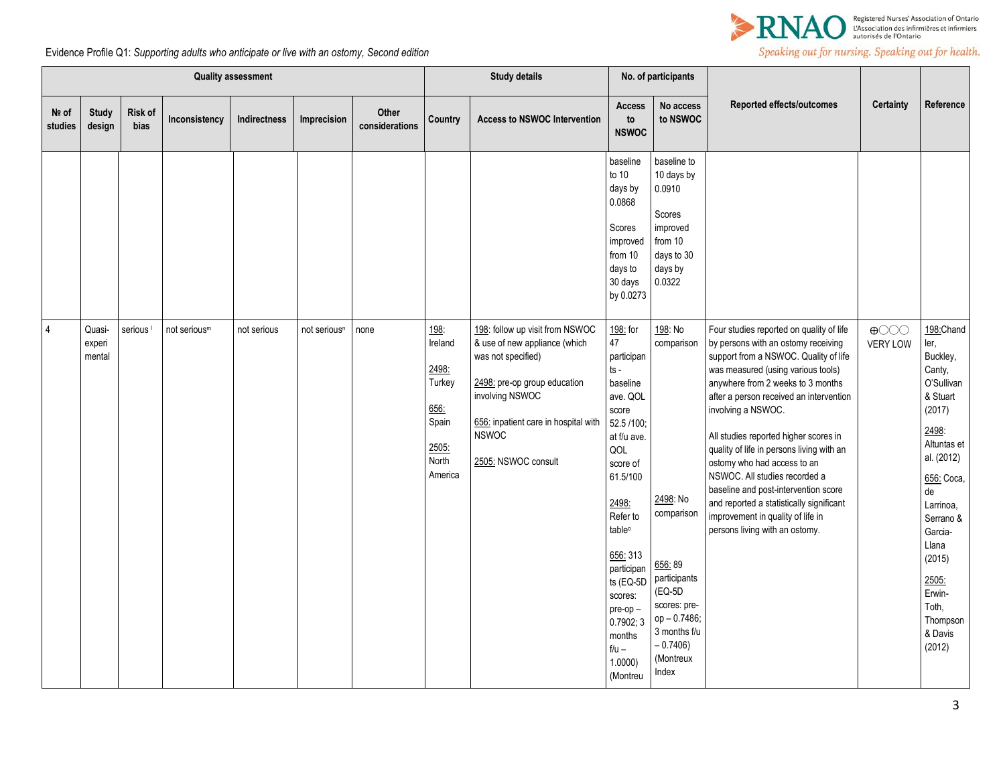

| <b>Quality assessment</b> |                            |                      |                          |                     | <b>Study details</b>     |                         | No. of participants                                                                     |                                                                                                                                                                                                                          |                                                                                                                                                                                                                                                                                                          |                                                                                                                                                                         |                                                                                                                                                                                                                                                                                                                                                                                                                                                                                                                                                                                       |                                |                                                                                                                                                                                                                                                             |
|---------------------------|----------------------------|----------------------|--------------------------|---------------------|--------------------------|-------------------------|-----------------------------------------------------------------------------------------|--------------------------------------------------------------------------------------------------------------------------------------------------------------------------------------------------------------------------|----------------------------------------------------------------------------------------------------------------------------------------------------------------------------------------------------------------------------------------------------------------------------------------------------------|-------------------------------------------------------------------------------------------------------------------------------------------------------------------------|---------------------------------------------------------------------------------------------------------------------------------------------------------------------------------------------------------------------------------------------------------------------------------------------------------------------------------------------------------------------------------------------------------------------------------------------------------------------------------------------------------------------------------------------------------------------------------------|--------------------------------|-------------------------------------------------------------------------------------------------------------------------------------------------------------------------------------------------------------------------------------------------------------|
| Nº of<br>studies          | <b>Study</b><br>design     | Risk of<br>bias      | Inconsistency            | <b>Indirectness</b> | Imprecision              | Other<br>considerations | Country                                                                                 | <b>Access to NSWOC Intervention</b>                                                                                                                                                                                      | Access<br>to<br><b>NSWOC</b>                                                                                                                                                                                                                                                                             | No access<br>to NSWOC                                                                                                                                                   | Reported effects/outcomes                                                                                                                                                                                                                                                                                                                                                                                                                                                                                                                                                             | <b>Certainty</b>               | Reference                                                                                                                                                                                                                                                   |
|                           |                            |                      |                          |                     |                          |                         |                                                                                         |                                                                                                                                                                                                                          | baseline<br>to $10$<br>days by<br>0.0868<br>Scores<br>improved<br>from 10<br>days to<br>30 days<br>by 0.0273                                                                                                                                                                                             | baseline to<br>10 days by<br>0.0910<br>Scores<br>improved<br>from 10<br>days to 30<br>days by<br>0.0322                                                                 |                                                                                                                                                                                                                                                                                                                                                                                                                                                                                                                                                                                       |                                |                                                                                                                                                                                                                                                             |
| $\overline{4}$            | Quasi-<br>experi<br>mental | serious <sup>1</sup> | not serious <sup>m</sup> | not serious         | not serious <sup>n</sup> | none                    | <u>198:</u><br>Ireland<br>2498:<br>Turkey<br>656:<br>Spain<br>2505:<br>North<br>America | 198: follow up visit from NSWOC<br>& use of new appliance (which<br>was not specified)<br>2498: pre-op group education<br>involving NSWOC<br>656: inpatient care in hospital with<br><b>NSWOC</b><br>2505: NSWOC consult | 198: for<br>47<br>participan<br>ts -<br>baseline<br>ave. QOL<br>score<br>52.5 /100;<br>at f/u ave.<br>QOL<br>score of<br>61.5/100<br>2498:<br>Refer to<br>table <sup>o</sup><br>656: 313<br>participan<br>ts (EQ-5D<br>scores:<br>$pre-op -$<br>0.7902; 3<br>months<br>$f/u -$<br>$1.0000$ )<br>(Montreu | 198: No<br>comparison<br>2498: No<br>comparison<br>656:89<br>participants<br>$(EQ-5D)$<br>scores: pre-<br>op-0.7486;<br>3 months f/u<br>$-0.7406$<br>(Montreux<br>Index | Four studies reported on quality of life<br>by persons with an ostomy receiving<br>support from a NSWOC. Quality of life<br>was measured (using various tools)<br>anywhere from 2 weeks to 3 months<br>after a person received an intervention<br>involving a NSWOC.<br>All studies reported higher scores in<br>quality of life in persons living with an<br>ostomy who had access to an<br>NSWOC. All studies recorded a<br>baseline and post-intervention score<br>and reported a statistically significant<br>improvement in quality of life in<br>persons living with an ostomy. | $\bigoplus$<br><b>VERY LOW</b> | 198: Chand<br>ler,<br>Buckley,<br>Canty,<br>O'Sullivan<br>& Stuart<br>(2017)<br>2498:<br>Altuntas et<br>al. (2012)<br>656: Coca,<br>de<br>Larrinoa,<br>Serrano &<br>Garcia-<br>Llana<br>(2015)<br>2505:<br>Erwin-<br>Toth,<br>Thompson<br>& Davis<br>(2012) |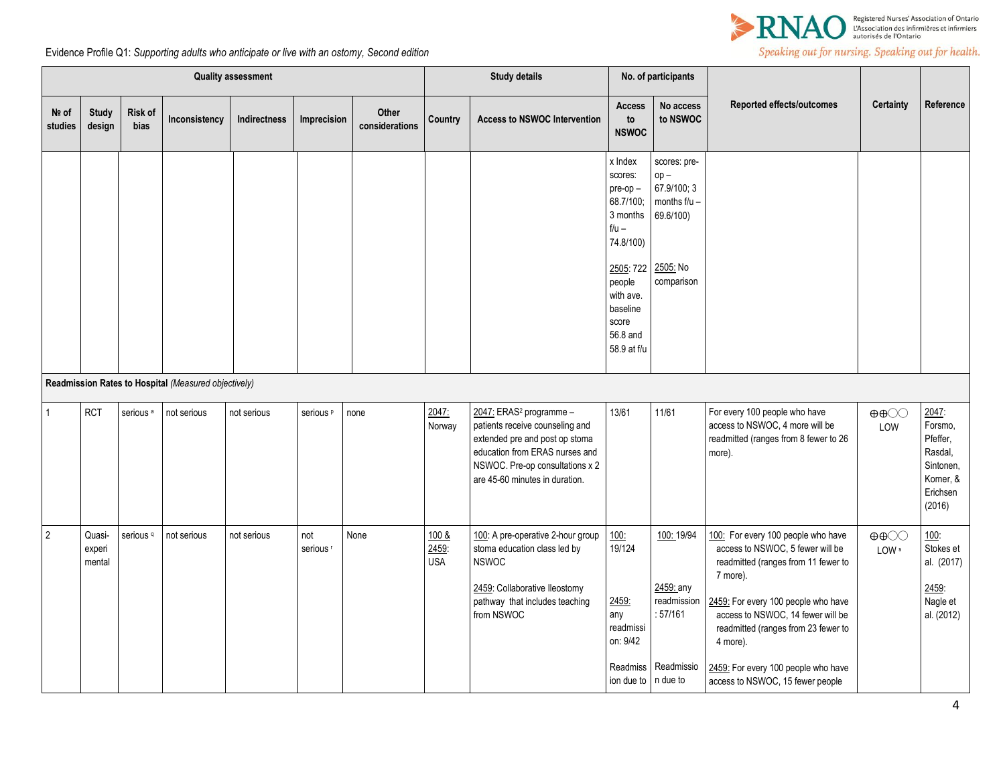

| <b>Quality assessment</b> |                            |                      |                                                      |              | <b>Study details</b>        |                         | No. of participants          |                                                                                                                                                                                                                 |                                                                                             |                                                                                |                                                                                                                                                                                                                                                                                                                                     |                                            |                                                                                         |
|---------------------------|----------------------------|----------------------|------------------------------------------------------|--------------|-----------------------------|-------------------------|------------------------------|-----------------------------------------------------------------------------------------------------------------------------------------------------------------------------------------------------------------|---------------------------------------------------------------------------------------------|--------------------------------------------------------------------------------|-------------------------------------------------------------------------------------------------------------------------------------------------------------------------------------------------------------------------------------------------------------------------------------------------------------------------------------|--------------------------------------------|-----------------------------------------------------------------------------------------|
| Nº of<br>studies          | <b>Study</b><br>design     | Risk of<br>bias      | Inconsistency                                        | Indirectness | Imprecision                 | Other<br>considerations | Country                      | <b>Access to NSWOC Intervention</b>                                                                                                                                                                             | <b>Access</b><br>to<br><b>NSWOC</b>                                                         | No access<br>to NSWOC                                                          | Reported effects/outcomes                                                                                                                                                                                                                                                                                                           | Certainty                                  | Reference                                                                               |
|                           |                            |                      |                                                      |              |                             |                         |                              |                                                                                                                                                                                                                 | x Index<br>scores:<br>pre-op-<br>68.7/100;<br>3 months<br>$f/u -$<br>74.8/100)<br>2505: 722 | scores: pre-<br>$op -$<br>67.9/100; 3<br>months f/u -<br>69.6/100)<br>2505: No |                                                                                                                                                                                                                                                                                                                                     |                                            |                                                                                         |
|                           |                            |                      |                                                      |              |                             |                         |                              |                                                                                                                                                                                                                 | people<br>with ave.<br>baseline<br>score<br>56.8 and<br>58.9 at f/u                         | comparison                                                                     |                                                                                                                                                                                                                                                                                                                                     |                                            |                                                                                         |
|                           |                            |                      | Readmission Rates to Hospital (Measured objectively) |              |                             |                         |                              |                                                                                                                                                                                                                 |                                                                                             |                                                                                |                                                                                                                                                                                                                                                                                                                                     |                                            |                                                                                         |
| $\mathbf{1}$              | <b>RCT</b>                 | serious <sup>a</sup> | not serious                                          | not serious  | serious <sup>p</sup>        | none                    | 2047.<br>Norway              | 2047: ERAS <sup>2</sup> programme -<br>patients receive counseling and<br>extended pre and post op stoma<br>education from ERAS nurses and<br>NSWOC. Pre-op consultations x 2<br>are 45-60 minutes in duration. | 13/61                                                                                       | 11/61                                                                          | For every 100 people who have<br>access to NSWOC, 4 more will be<br>readmitted (ranges from 8 fewer to 26<br>more).                                                                                                                                                                                                                 | $\oplus \oplus \bigcirc \bigcirc$<br>LOW   | 2047:<br>Forsmo,<br>Pfeffer.<br>Rasdal,<br>Sintonen.<br>Korner, &<br>Erichsen<br>(2016) |
| $\overline{2}$            | Quasi-<br>experi<br>mental | serious <sup>q</sup> | not serious                                          | not serious  | not<br>serious <sup>r</sup> | None                    | 100 &<br>2459:<br><b>USA</b> | 100: A pre-operative 2-hour group<br>stoma education class led by<br><b>NSWOC</b><br>2459: Collaborative Ileostomy<br>pathway that includes teaching<br>from NSWOC                                              | 100:<br>19/124<br>2459:<br>any<br>readmissi<br>on: 9/42<br>Readmiss<br>ion due to           | 100: 19/94<br>2459: any<br>readmission<br>: 57/161<br>Readmissio<br>n due to   | 100: For every 100 people who have<br>access to NSWOC, 5 fewer will be<br>readmitted (ranges from 11 fewer to<br>7 more).<br>2459: For every 100 people who have<br>access to NSWOC, 14 fewer will be<br>readmitted (ranges from 23 fewer to<br>4 more).<br>2459: For every 100 people who have<br>access to NSWOC, 15 fewer people | $\oplus \oplus \bigcirc \bigcirc$<br>LOW s | 100:<br>Stokes et<br>al. (2017)<br>2459:<br>Nagle et<br>al. (2012)                      |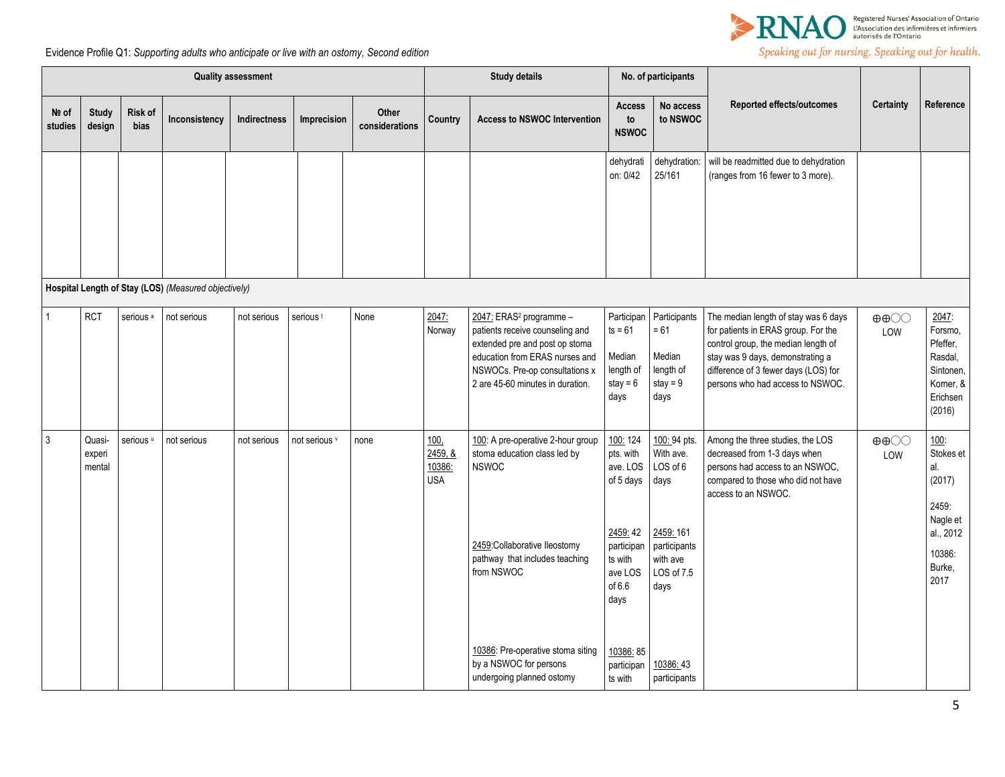

|                  | <b>Quality assessment</b>  |                      |                                                      |                     |                      | <b>Study details</b>    |                                         | No. of participants                                                                                                                                                                                              |                                                                                                                   |                                                                                                             |                                                                                                                                                                                                                                    |                                          |                                                                                                  |
|------------------|----------------------------|----------------------|------------------------------------------------------|---------------------|----------------------|-------------------------|-----------------------------------------|------------------------------------------------------------------------------------------------------------------------------------------------------------------------------------------------------------------|-------------------------------------------------------------------------------------------------------------------|-------------------------------------------------------------------------------------------------------------|------------------------------------------------------------------------------------------------------------------------------------------------------------------------------------------------------------------------------------|------------------------------------------|--------------------------------------------------------------------------------------------------|
| Nº of<br>studies | <b>Study</b><br>design     | Risk of<br>bias      | Inconsistency                                        | <b>Indirectness</b> | Imprecision          | Other<br>considerations | Country                                 | <b>Access to NSWOC Intervention</b>                                                                                                                                                                              | <b>Access</b><br>to<br><b>NSWOC</b>                                                                               | No access<br>to NSWOC                                                                                       | Reported effects/outcomes                                                                                                                                                                                                          | <b>Certainty</b>                         | Reference                                                                                        |
|                  |                            |                      |                                                      |                     |                      |                         |                                         |                                                                                                                                                                                                                  | dehydrati<br>on: 0/42                                                                                             | dehydration:<br>25/161                                                                                      | will be readmitted due to dehydration<br>(ranges from 16 fewer to 3 more).                                                                                                                                                         |                                          |                                                                                                  |
|                  |                            |                      | Hospital Length of Stay (LOS) (Measured objectively) |                     |                      |                         |                                         |                                                                                                                                                                                                                  |                                                                                                                   |                                                                                                             |                                                                                                                                                                                                                                    |                                          |                                                                                                  |
| 1                | <b>RCT</b>                 | serious <sup>a</sup> | not serious                                          | not serious         | serious <sup>t</sup> | None                    | 2047:<br>Norway                         | 2047: ERAS <sup>2</sup> programme -<br>patients receive counseling and<br>extended pre and post op stoma<br>education from ERAS nurses and<br>NSWOCs. Pre-op consultations x<br>2 are 45-60 minutes in duration. | Participan<br>$ts = 61$<br>Median<br>length of<br>stay = $6$<br>days                                              | Participants<br>$= 61$<br>Median<br>length of<br>stay = $9$<br>days                                         | The median length of stay was 6 days<br>for patients in ERAS group. For the<br>control group, the median length of<br>stay was 9 days, demonstrating a<br>difference of 3 fewer days (LOS) for<br>persons who had access to NSWOC. | $\oplus \oplus \bigcirc \bigcirc$<br>LOW | 2047:<br>Forsmo,<br>Pfeffer,<br>Rasdal,<br>Sintonen,<br>Korner, &<br>Erichsen<br>(2016)          |
| 3                | Quasi-<br>experi<br>mental | serious <sup>u</sup> | not serious                                          | not serious         | not serious v        | none                    | 100.<br>2459, 8<br>10386:<br><b>USA</b> | 100: A pre-operative 2-hour group<br>stoma education class led by<br><b>NSWOC</b><br>2459:Collaborative lleostomy<br>pathway that includes teaching<br>from NSWOC                                                | 100: 124<br>pts. with<br>ave. LOS<br>of 5 days<br>2459:42<br>participan<br>ts with<br>ave LOS<br>of $6.6$<br>days | 100:94 pts.<br>With ave.<br>LOS of 6<br>days<br>2459: 161<br>participants<br>with ave<br>LOS of 7.5<br>days | Among the three studies, the LOS<br>decreased from 1-3 days when<br>persons had access to an NSWOC,<br>compared to those who did not have<br>access to an NSWOC.                                                                   | $\oplus \oplus \odot \odot$<br>LOW       | 100:<br>Stokes et<br>al.<br>(2017)<br>2459:<br>Nagle et<br>al., 2012<br>10386:<br>Burke,<br>2017 |
|                  |                            |                      |                                                      |                     |                      |                         |                                         | 10386: Pre-operative stoma siting<br>by a NSWOC for persons<br>undergoing planned ostomy                                                                                                                         | 10386: 85<br>participan<br>ts with                                                                                | 10386:43<br>participants                                                                                    |                                                                                                                                                                                                                                    |                                          |                                                                                                  |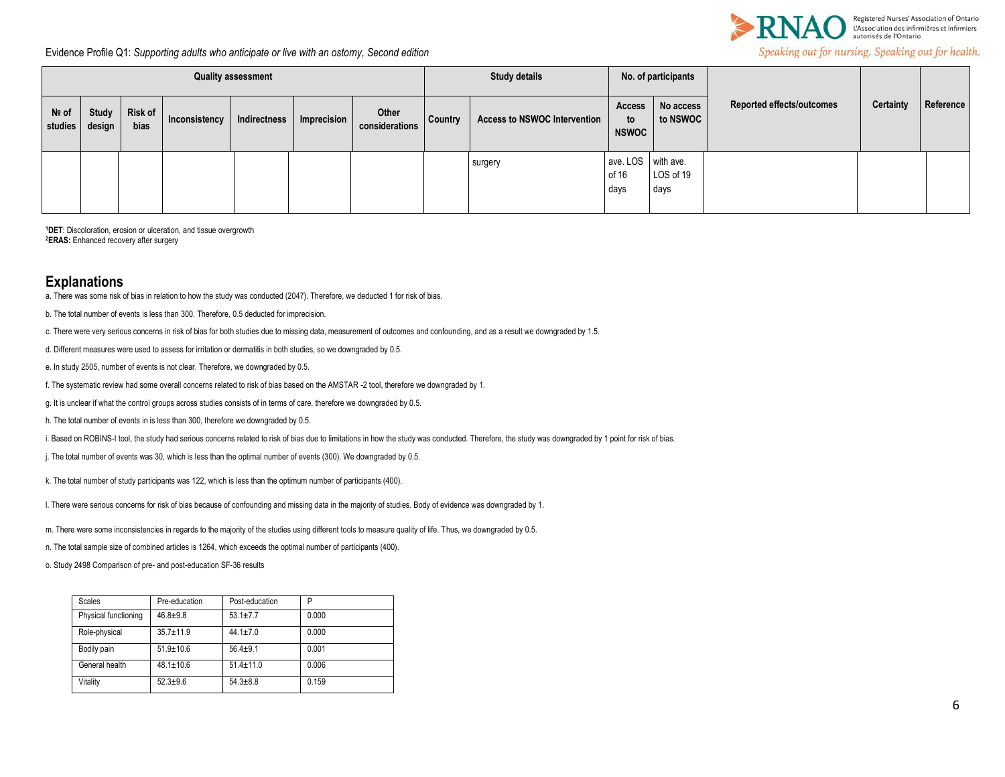

Evidence Profile Q1: *Supporting adults who anticipate or live with an ostomy, Second edition*

| <b>Quality assessment</b> |                 |                 |               |              |                    |                         | <b>Study details</b> |                                     | No. of participants                 |                       |                                  |           |           |
|---------------------------|-----------------|-----------------|---------------|--------------|--------------------|-------------------------|----------------------|-------------------------------------|-------------------------------------|-----------------------|----------------------------------|-----------|-----------|
| Nº of<br>studies          | Study<br>design | Risk of<br>bias | Inconsistency | Indirectness | <b>Imprecision</b> | Other<br>considerations | <b>Country</b>       | <b>Access to NSWOC Intervention</b> | Access<br>to<br><b>NSWOC</b>        | No access<br>to NSWOC | <b>Reported effects/outcomes</b> | Certainty | Reference |
|                           |                 |                 |               |              |                    |                         |                      | surgery                             | ave. LOS with ave.<br>of 16<br>days | LOS of 19<br>days     |                                  |           |           |

**<sup>1</sup>DET**: Discoloration, erosion or ulceration, and tissue overgrowth **<sup>2</sup>ERAS:** Enhanced recovery after surgery

## **Explanations**

a. There was some risk of bias in relation to how the study was conducted (2047). Therefore, we deducted 1 for risk of bias.

b. The total number of events is less than 300. Therefore, 0.5 deducted for imprecision.

c. There were very serious concerns in risk of bias for both studies due to missing data, measurement of outcomes and confounding, and as a result we downgraded by 1.5.

d. Different measures were used to assess for irritation or dermatitis in both studies, so we downgraded by 0.5.

e. In study 2505, number of events is not clear. Therefore, we downgraded by 0.5.

f. The systematic review had some overall concerns related to risk of bias based on the AMSTAR -2 tool, therefore we downgraded by 1.

g. It is unclear if what the control groups across studies consists of in terms of care, therefore we downgraded by 0.5.

h. The total number of events in is less than 300, therefore we downgraded by 0.5.

i. Based on ROBINS-I tool, the study had serious concerns related to risk of bias due to limitations in how the study was conducted. Therefore, the study was downgraded by 1 point for risk of bias.

j. The total number of events was 30, which is less than the optimal number of events (300). We downgraded by 0.5.

k. The total number of study participants was 122, which is less than the optimum number of participants (400).

l. There were serious concerns for risk of bias because of confounding and missing data in the majority of studies. Body of evidence was downgraded by 1.

m. There were some inconsistencies in regards to the majority of the studies using different tools to measure quality of life. Thus, we downgraded by 0.5.

n. The total sample size of combined articles is 1264, which exceeds the optimal number of participants (400).

o. Study 2498 Comparison of pre- and post-education SF-36 results

| Scales               | Pre-education   | Post-education  | P     |
|----------------------|-----------------|-----------------|-------|
| Physical functioning | $46.8 + 9.8$    | $53.1 + 7.7$    | 0.000 |
| Role-physical        | $35.7 + 11.9$   | $44.1 \pm 7.0$  | 0.000 |
| Bodily pain          | $51.9 \pm 10.6$ | $56.4 + 9.1$    | 0.001 |
| General health       | $48.1 \pm 10.6$ | $51.4 \pm 11.0$ | 0.006 |
| Vitality             | $52.3 + 9.6$    | $54.3 + 8.8$    | 0.159 |